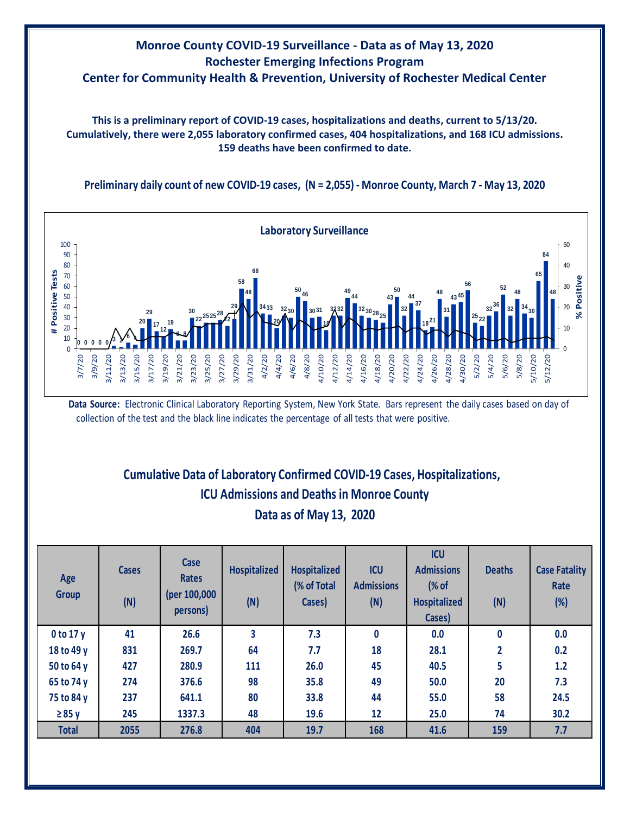## **Monroe County COVID-19 Surveillance - Data as of May 13, 2020 Rochester Emerging Infections Program Center for Community Health & Prevention, University of Rochester Medical Center**

**This is a preliminary report of COVID-19 cases, hospitalizations and deaths, current to 5/13/20. Cumulatively, there were 2,055 laboratory confirmed cases, 404 hospitalizations, and 168 ICU admissions. 159 deaths have been confirmed to date.**

**Preliminary daily count of new COVID-19 cases, (N = 2,055) - Monroe County, March 7 - May 13, 2020**



**Data Source:** Electronic Clinical Laboratory Reporting System, New York State. Bars represent the daily cases based on day of collection of the test and the black line indicates the percentage of all tests that were positive.

## **Cumulative Data of Laboratory Confirmed COVID-19 Cases, Hospitalizations, Data as of May 13, 2020 ICU Admissions and Deaths in Monroe County**

| Age<br><b>Group</b> | <b>Cases</b><br>(N) | <b>Case</b><br><b>Rates</b><br>(per 100,000<br>persons) | <b>Hospitalized</b><br>(N) | <b>Hospitalized</b><br>(% of Total<br>Cases) | <b>ICU</b><br><b>Admissions</b><br>(N) | <b>ICU</b><br><b>Admissions</b><br>% of<br><b>Hospitalized</b><br>Cases) | <b>Deaths</b><br>(N) | <b>Case Fatality</b><br>Rate<br>$(\%)$ |
|---------------------|---------------------|---------------------------------------------------------|----------------------------|----------------------------------------------|----------------------------------------|--------------------------------------------------------------------------|----------------------|----------------------------------------|
| $0$ to 17 y         | 41                  | 26.6                                                    | 3                          | 7.3                                          | 0                                      | 0.0                                                                      | $\mathbf{0}$         | 0.0                                    |
| 18 to 49 y          | 831                 | 269.7                                                   | 64                         | 7.7                                          | 18                                     | 28.1                                                                     | $\overline{2}$       | 0.2                                    |
| 50 to 64 y          | 427                 | 280.9                                                   | 111                        | 26.0                                         | 45                                     | 40.5                                                                     | 5                    | 1.2                                    |
| 65 to 74 y          | 274                 | 376.6                                                   | 98                         | 35.8                                         | 49                                     | 50.0                                                                     | 20                   | 7.3                                    |
| 75 to 84 y          | 237                 | 641.1                                                   | 80                         | 33.8                                         | 44                                     | 55.0                                                                     | 58                   | 24.5                                   |
| $\geq 85$ y         | 245                 | 1337.3                                                  | 48                         | 19.6                                         | 12                                     | 25.0                                                                     | 74                   | 30.2                                   |
| <b>Total</b>        | 2055                | 276.8                                                   | 404                        | 19.7                                         | 168                                    | 41.6                                                                     | 159                  | 7.7                                    |